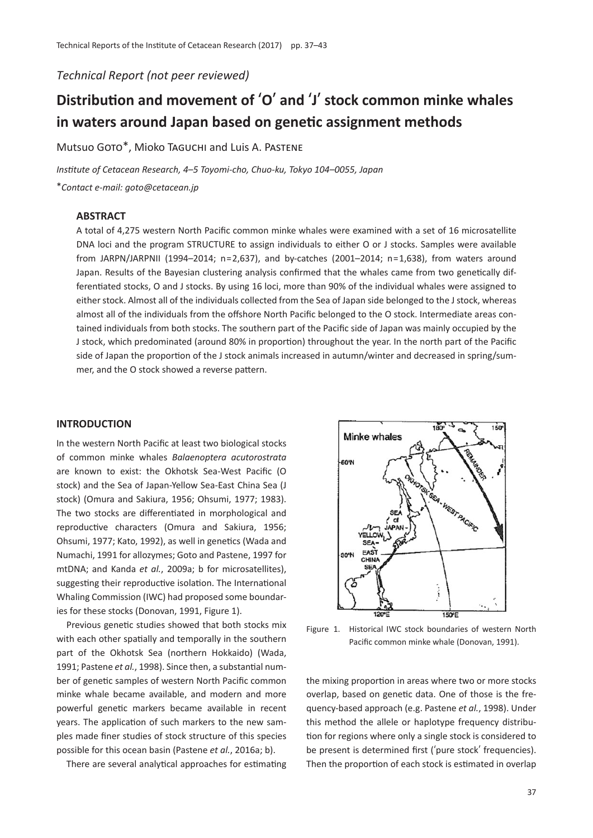*Technical Report (not peer reviewed)*

# **Distribution and movement of** ʻ**O**' **and** ʻ**J**' **stock common minke whales in waters around Japan based on genetic assignment methods**

Mutsuo Goto\*, Mioko Taguchi and Luis A. Pastene

*Institute of Cetacean Research, 4*–*5 Toyomi-cho, Chuo-ku, Tokyo 104*–*0055, Japan*

\**Contact e-mail: goto@cetacean.jp*

### **ABSTRACT**

A total of 4,275 western North Pacific common minke whales were examined with a set of 16 microsatellite DNA loci and the program STRUCTURE to assign individuals to either O or J stocks. Samples were available from JARPN/JARPNII (1994–2014; n=2,637), and by-catches (2001–2014; n=1,638), from waters around Japan. Results of the Bayesian clustering analysis confirmed that the whales came from two genetically differentiated stocks, O and J stocks. By using 16 loci, more than 90% of the individual whales were assigned to either stock. Almost all of the individuals collected from the Sea of Japan side belonged to the J stock, whereas almost all of the individuals from the offshore North Pacific belonged to the O stock. Intermediate areas contained individuals from both stocks. The southern part of the Pacific side of Japan was mainly occupied by the J stock, which predominated (around 80% in proportion) throughout the year. In the north part of the Pacific side of Japan the proportion of the J stock animals increased in autumn/winter and decreased in spring/summer, and the O stock showed a reverse pattern.

# **INTRODUCTION**

In the western North Pacific at least two biological stocks of common minke whales *Balaenoptera acutorostrata* are known to exist: the Okhotsk Sea-West Pacific (O stock) and the Sea of Japan-Yellow Sea-East China Sea (J stock) (Omura and Sakiura, 1956; Ohsumi, 1977; 1983). The two stocks are differentiated in morphological and reproductive characters (Omura and Sakiura, 1956; Ohsumi, 1977; Kato, 1992), as well in genetics (Wada and Numachi, 1991 for allozymes; Goto and Pastene, 1997 for mtDNA; and Kanda *et al.*, 2009a; b for microsatellites), suggesting their reproductive isolation. The International Whaling Commission (IWC) had proposed some boundaries for these stocks (Donovan, 1991, Figure 1).

Previous genetic studies showed that both stocks mix with each other spatially and temporally in the southern part of the Okhotsk Sea (northern Hokkaido) (Wada, 1991; Pastene *et al.*, 1998). Since then, a substantial number of genetic samples of western North Pacific common minke whale became available, and modern and more powerful genetic markers became available in recent years. The application of such markers to the new samples made finer studies of stock structure of this species possible for this ocean basin (Pastene *et al.*, 2016a; b).

There are several analytical approaches for estimating



Figure 1. Historical IWC stock boundaries of western North Pacific common minke whale (Donovan, 1991).

the mixing proportion in areas where two or more stocks overlap, based on genetic data. One of those is the frequency-based approach (e.g. Pastene *et al.*, 1998). Under this method the allele or haplotype frequency distribution for regions where only a single stock is considered to be present is determined first (ʻpure stock' frequencies). Then the proportion of each stock is estimated in overlap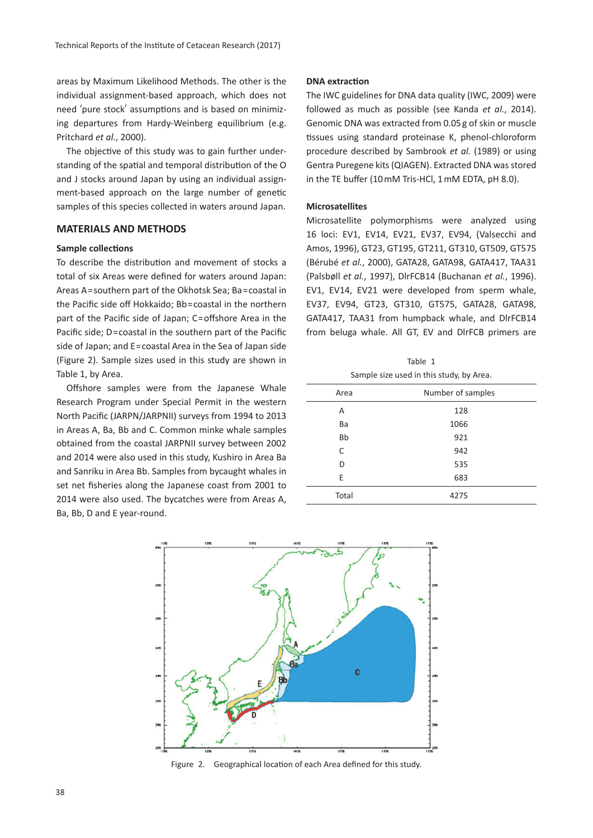areas by Maximum Likelihood Methods. The other is the individual assignment-based approach, which does not need ʻpure stock' assumptions and is based on minimizing departures from Hardy-Weinberg equilibrium (e.g. Pritchard *et al.*, 2000).

The objective of this study was to gain further understanding of the spatial and temporal distribution of the O and J stocks around Japan by using an individual assignment-based approach on the large number of genetic samples of this species collected in waters around Japan.

# **MATERIALS AND METHODS**

#### **Sample collections**

To describe the distribution and movement of stocks a total of six Areas were defined for waters around Japan: Areas A=southern part of the Okhotsk Sea; Ba=coastal in the Pacific side off Hokkaido; Bb=coastal in the northern part of the Pacific side of Japan; C=offshore Area in the Pacific side; D=coastal in the southern part of the Pacific side of Japan; and E=coastal Area in the Sea of Japan side (Figure 2). Sample sizes used in this study are shown in Table 1, by Area.

Offshore samples were from the Japanese Whale Research Program under Special Permit in the western North Pacific (JARPN/JARPNII) surveys from 1994 to 2013 in Areas A, Ba, Bb and C. Common minke whale samples obtained from the coastal JARPNII survey between 2002 and 2014 were also used in this study, Kushiro in Area Ba and Sanriku in Area Bb. Samples from bycaught whales in set net fisheries along the Japanese coast from 2001 to 2014 were also used. The bycatches were from Areas A, Ba, Bb, D and E year-round.

#### **DNA extraction**

The IWC guidelines for DNA data quality (IWC, 2009) were followed as much as possible (see Kanda *et al.*, 2014). Genomic DNA was extracted from 0.05 g of skin or muscle tissues using standard proteinase K, phenol-chloroform procedure described by Sambrook *et al.* (1989) or using Gentra Puregene kits (QIAGEN). Extracted DNA was stored in the TE buffer (10 mM Tris-HCl, 1 mM EDTA, pH 8.0).

#### **Microsatellites**

Microsatellite polymorphisms were analyzed using 16 loci: EV1, EV14, EV21, EV37, EV94, (Valsecchi and Amos, 1996), GT23, GT195, GT211, GT310, GT509, GT575 (Bérubé *et al.*, 2000), GATA28, GATA98, GATA417, TAA31 (Palsbøll *et al.*, 1997), DlrFCB14 (Buchanan *et al.*, 1996). EV1, EV14, EV21 were developed from sperm whale, EV37, EV94, GT23, GT310, GT575, GATA28, GATA98, GATA417, TAA31 from humpback whale, and DlrFCB14 from beluga whale. All GT, EV and DlrFCB primers are

Table 1 Sample size used in this study, by Area.

| Area  | Number of samples |  |
|-------|-------------------|--|
| Α     | 128               |  |
| Ba    | 1066              |  |
| Bb    | 921               |  |
| C     | 942               |  |
| D     | 535               |  |
| E     | 683               |  |
| Total | 4275              |  |
|       |                   |  |



Figure 2. Geographical location of each Area defined for this study.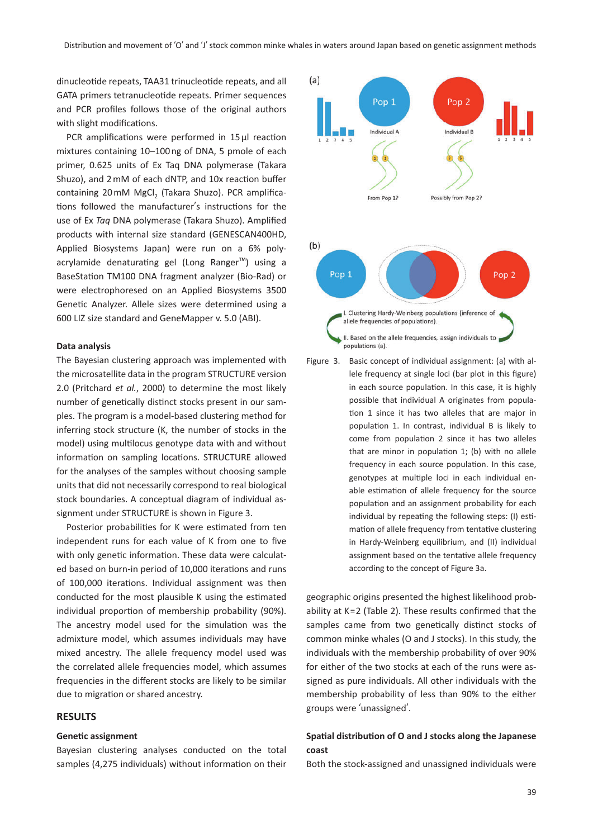dinucleotide repeats, TAA31 trinucleotide repeats, and all GATA primers tetranucleotide repeats. Primer sequences and PCR profiles follows those of the original authors with slight modifications.

PCR amplifications were performed in 15 µl reaction mixtures containing 10–100 ng of DNA, 5 pmole of each primer, 0.625 units of Ex Taq DNA polymerase (Takara Shuzo), and 2 mM of each dNTP, and 10x reaction buffer containing 20 mM MgCl<sub>2</sub> (Takara Shuzo). PCR amplifications followed the manufacturer's instructions for the use of Ex *Taq* DNA polymerase (Takara Shuzo). Amplified products with internal size standard (GENESCAN400HD, Applied Biosystems Japan) were run on a 6% polyacrylamide denaturating gel (Long Ranger™) using a BaseStation TM100 DNA fragment analyzer (Bio-Rad) or were electrophoresed on an Applied Biosystems 3500 Genetic Analyzer. Allele sizes were determined using a 600 LIZ size standard and GeneMapper v. 5.0 (ABI).

#### **Data analysis**

The Bayesian clustering approach was implemented with the microsatellite data in the program STRUCTURE version 2.0 (Pritchard *et al.*, 2000) to determine the most likely number of genetically distinct stocks present in our samples. The program is a model-based clustering method for inferring stock structure (K, the number of stocks in the model) using multilocus genotype data with and without information on sampling locations. STRUCTURE allowed for the analyses of the samples without choosing sample units that did not necessarily correspond to real biological stock boundaries. A conceptual diagram of individual assignment under STRUCTURE is shown in Figure 3.

Posterior probabilities for K were estimated from ten independent runs for each value of K from one to five with only genetic information. These data were calculated based on burn-in period of 10,000 iterations and runs of 100,000 iterations. Individual assignment was then conducted for the most plausible K using the estimated individual proportion of membership probability (90%). The ancestry model used for the simulation was the admixture model, which assumes individuals may have mixed ancestry. The allele frequency model used was the correlated allele frequencies model, which assumes frequencies in the different stocks are likely to be similar due to migration or shared ancestry.

# **RESULTS**

#### **Genetic assignment**

Bayesian clustering analyses conducted on the total samples (4,275 individuals) without information on their



Figure 3. Basic concept of individual assignment: (a) with allele frequency at single loci (bar plot in this figure) in each source population. In this case, it is highly possible that individual A originates from population 1 since it has two alleles that are major in population 1. In contrast, individual B is likely to come from population 2 since it has two alleles that are minor in population 1; (b) with no allele frequency in each source population. In this case, genotypes at multiple loci in each individual enable estimation of allele frequency for the source population and an assignment probability for each individual by repeating the following steps: (I) estimation of allele frequency from tentative clustering in Hardy-Weinberg equilibrium, and (II) individual assignment based on the tentative allele frequency according to the concept of Figure 3a.

geographic origins presented the highest likelihood probability at K=2 (Table 2). These results confirmed that the samples came from two genetically distinct stocks of common minke whales (O and J stocks). In this study, the individuals with the membership probability of over 90% for either of the two stocks at each of the runs were assigned as pure individuals. All other individuals with the membership probability of less than 90% to the either groups were ʻunassigned'.

# **Spatial distribution of O and J stocks along the Japanese coast**

Both the stock-assigned and unassigned individuals were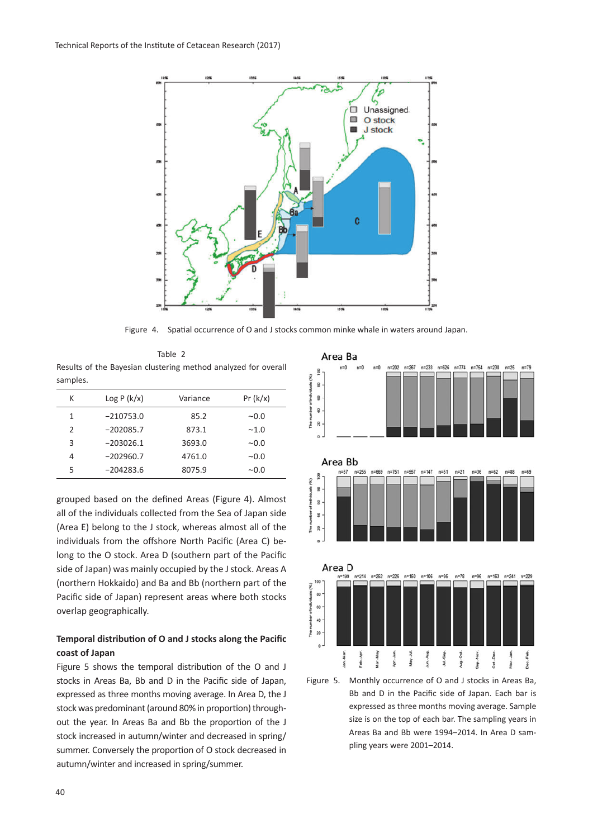

Figure 4. Spatial occurrence of O and J stocks common minke whale in waters around Japan.

Table 2 Results of the Bayesian clustering method analyzed for overall samples.

| К | Log P (k/x) | Variance | Pr(k/x) |
|---|-------------|----------|---------|
| 1 | $-210753.0$ | 85.2     | $-0.0$  |
| 2 | $-202085.7$ | 873.1    | ~1.0    |
| 3 | $-203026.1$ | 3693.0   | $-0.0$  |
| 4 | $-202960.7$ | 4761.0   | $-0.0$  |
| 5 | $-204283.6$ | 8075.9   | $-0.0$  |
|   |             |          |         |

grouped based on the defined Areas (Figure 4). Almost all of the individuals collected from the Sea of Japan side (Area E) belong to the J stock, whereas almost all of the individuals from the offshore North Pacific (Area C) belong to the O stock. Area D (southern part of the Pacific side of Japan) was mainly occupied by the J stock. Areas A (northern Hokkaido) and Ba and Bb (northern part of the Pacific side of Japan) represent areas where both stocks overlap geographically.

# **Temporal distribution of O and J stocks along the Pacific coast of Japan**

Figure 5 shows the temporal distribution of the O and J stocks in Areas Ba, Bb and D in the Pacific side of Japan, expressed as three months moving average. In Area D, the J stock was predominant (around 80% in proportion) throughout the year. In Areas Ba and Bb the proportion of the J stock increased in autumn/winter and decreased in spring/ summer. Conversely the proportion of O stock decreased in autumn/winter and increased in spring/summer.



Bb and D in the Pacific side of Japan. Each bar is expressed as three months moving average. Sample size is on the top of each bar. The sampling years in Areas Ba and Bb were 1994–2014. In Area D sampling years were 2001–2014.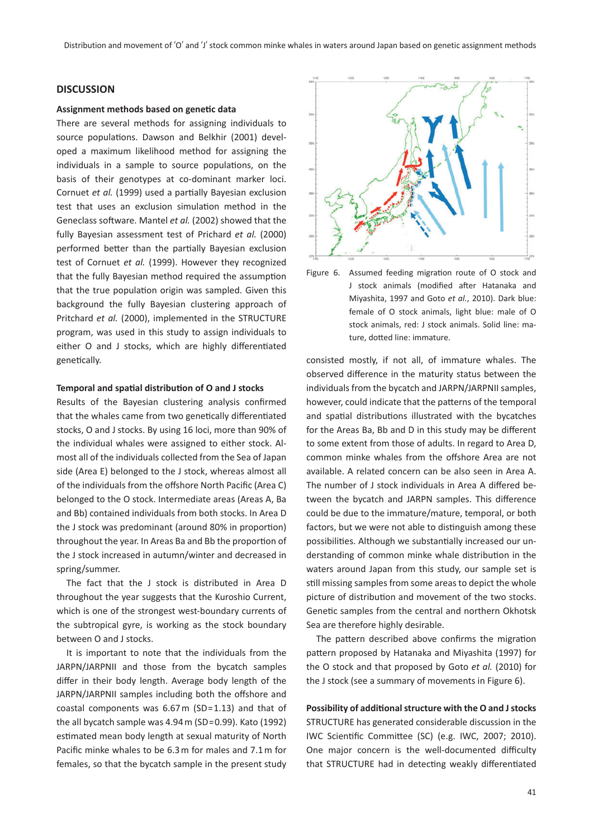# **DISCUSSION**

#### **Assignment methods based on genetic data**

There are several methods for assigning individuals to source populations. Dawson and Belkhir (2001) developed a maximum likelihood method for assigning the individuals in a sample to source populations, on the basis of their genotypes at co-dominant marker loci. Cornuet *et al.* (1999) used a partially Bayesian exclusion test that uses an exclusion simulation method in the Geneclass software. Mantel *et al.* (2002) showed that the fully Bayesian assessment test of Prichard *et al.* (2000) performed better than the partially Bayesian exclusion test of Cornuet *et al.* (1999). However they recognized that the fully Bayesian method required the assumption that the true population origin was sampled. Given this background the fully Bayesian clustering approach of Pritchard *et al.* (2000), implemented in the STRUCTURE program, was used in this study to assign individuals to either O and J stocks, which are highly differentiated genetically.

#### **Temporal and spatial distribution of O and J stocks**

Results of the Bayesian clustering analysis confirmed that the whales came from two genetically differentiated stocks, O and J stocks. By using 16 loci, more than 90% of the individual whales were assigned to either stock. Almost all of the individuals collected from the Sea of Japan side (Area E) belonged to the J stock, whereas almost all of the individuals from the offshore North Pacific (Area C) belonged to the O stock. Intermediate areas (Areas A, Ba and Bb) contained individuals from both stocks. In Area D the J stock was predominant (around 80% in proportion) throughout the year. In Areas Ba and Bb the proportion of the J stock increased in autumn/winter and decreased in spring/summer.

The fact that the J stock is distributed in Area D throughout the year suggests that the Kuroshio Current, which is one of the strongest west-boundary currents of the subtropical gyre, is working as the stock boundary between O and J stocks.

It is important to note that the individuals from the JARPN/JARPNII and those from the bycatch samples differ in their body length. Average body length of the JARPN/JARPNII samples including both the offshore and coastal components was 6.67 m (SD=1.13) and that of the all bycatch sample was 4.94 m (SD=0.99). Kato (1992) estimated mean body length at sexual maturity of North Pacific minke whales to be 6.3 m for males and 7.1 m for females, so that the bycatch sample in the present study





consisted mostly, if not all, of immature whales. The observed difference in the maturity status between the individuals from the bycatch and JARPN/JARPNII samples, however, could indicate that the patterns of the temporal and spatial distributions illustrated with the bycatches for the Areas Ba, Bb and D in this study may be different to some extent from those of adults. In regard to Area D, common minke whales from the offshore Area are not available. A related concern can be also seen in Area A. The number of J stock individuals in Area A differed between the bycatch and JARPN samples. This difference could be due to the immature/mature, temporal, or both factors, but we were not able to distinguish among these possibilities. Although we substantially increased our understanding of common minke whale distribution in the waters around Japan from this study, our sample set is still missing samples from some areas to depict the whole picture of distribution and movement of the two stocks. Genetic samples from the central and northern Okhotsk Sea are therefore highly desirable.

The pattern described above confirms the migration pattern proposed by Hatanaka and Miyashita (1997) for the O stock and that proposed by Goto *et al.* (2010) for the J stock (see a summary of movements in Figure 6).

**Possibility of additional structure with the O and J stocks** STRUCTURE has generated considerable discussion in the IWC Scientific Committee (SC) (e.g. IWC, 2007; 2010). One major concern is the well-documented difficulty that STRUCTURE had in detecting weakly differentiated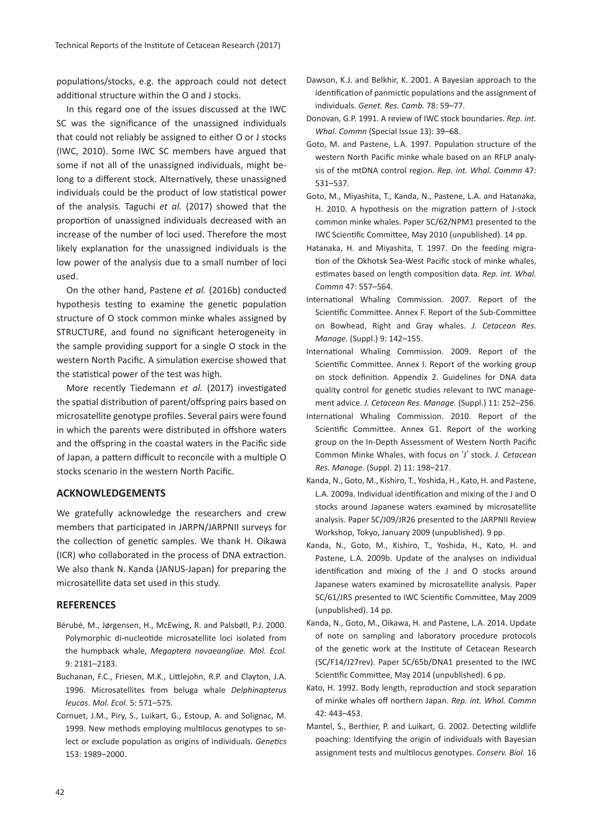populations/stocks, e.g. the approach could not detect additional structure within the O and J stocks.

In this regard one of the issues discussed at the IWC SC was the significance of the unassigned individuals that could not reliably be assigned to either O or J stocks (IWC, 2010). Some IWC SC members have argued that some if not all of the unassigned individuals, might belong to a different stock. Alternatively, these unassigned individuals could be the product of low statistical power of the analysis. Taguchi *et al.* (2017) showed that the proportion of unassigned individuals decreased with an increase of the number of loci used. Therefore the most likely explanation for the unassigned individuals is the low power of the analysis due to a small number of loci used.

On the other hand, Pastene *et al.* (2016b) conducted hypothesis testing to examine the genetic population structure of O stock common minke whales assigned by STRUCTURE, and found no significant heterogeneity in the sample providing support for a single O stock in the western North Pacific. A simulation exercise showed that the statistical power of the test was high.

More recently Tiedemann *et al.* (2017) investigated the spatial distribution of parent/offspring pairs based on microsatellite genotype profiles. Several pairs were found in which the parents were distributed in offshore waters and the offspring in the coastal waters in the Pacific side of Japan, a pattern difficult to reconcile with a multiple O stocks scenario in the western North Pacific.

#### **ACKNOWLEDGEMENTS**

We gratefully acknowledge the researchers and crew members that participated in JARPN/JARPNII surveys for the collection of genetic samples. We thank H. Oikawa (ICR) who collaborated in the process of DNA extraction. We also thank N. Kanda (JANUS-Japan) for preparing the microsatellite data set used in this study.

# **REFERENCES**

- Bérubé, M., Jørgensen, H., McEwing, R. and Palsbøll, P.J. 2000. Polymorphic di-nucleotide microsatellite loci isolated from the humpback whale, *Megaptera novaeangliae*. *Mol. Ecol.* 9: 2181–2183.
- Buchanan, F.C., Friesen, M.K., Littlejohn, R.P. and Clayton, J.A. 1996. Microsatellites from beluga whale *Delphinapterus leucas*. *Mol. Ecol.* 5: 571–575.
- Cornuet, J.M., Piry, S., Luikart, G., Estoup, A. and Solignac, M. 1999. New methods employing multilocus genotypes to select or exclude population as origins of individuals. *Genetics* 153: 1989–2000.
- Dawson, K.J. and Belkhir, K. 2001. A Bayesian approach to the identification of panmictic populations and the assignment of individuals. *Genet. Res. Camb.* 78: 59–77.
- Donovan, G.P. 1991. A review of IWC stock boundaries. *Rep. int. Whal. Commn* (Special Issue 13): 39–68.
- Goto, M. and Pastene, L.A. 1997. Population structure of the western North Pacific minke whale based on an RFLP analysis of the mtDNA control region. *Rep. int. Whal. Commn* 47: 531–537.
- Goto, M., Miyashita, T., Kanda, N., Pastene, L.A. and Hatanaka, H. 2010. A hypothesis on the migration pattern of J-stock common minke whales. Paper SC/62/NPM1 presented to the IWC Scientific Committee, May 2010 (unpublished). 14 pp.
- Hatanaka, H. and Miyashita, T. 1997. On the feeding migration of the Okhotsk Sea-West Pacific stock of minke whales, estimates based on length composition data. *Rep. int. Whal. Commn* 47: 557–564.
- International Whaling Commission. 2007. Report of the Scientific Committee. Annex F. Report of the Sub-Committee on Bowhead, Right and Gray whales. *J. Cetacean Res. Manage.* (Suppl.) 9: 142–155.
- International Whaling Commission. 2009. Report of the Scientific Committee. Annex I. Report of the working group on stock definition. Appendix 2. Guidelines for DNA data quality control for genetic studies relevant to IWC management advice. *J. Cetacean Res. Manage.* (Suppl.) 11: 252–256.
- International Whaling Commission. 2010. Report of the Scientific Committee. Annex G1. Report of the working group on the In-Depth Assessment of Western North Pacific Common Minke Whales, with focus on ʻJ' stock. *J. Cetacean Res. Manage.* (Suppl. 2) 11: 198–217.
- Kanda, N., Goto, M., Kishiro, T., Yoshida, H., Kato, H. and Pastene, L.A. 2009a. Individual identification and mixing of the J and O stocks around Japanese waters examined by microsatellite analysis. Paper SC/J09/JR26 presented to the JARPNII Review Workshop, Tokyo, January 2009 (unpublished). 9 pp.
- Kanda, N., Goto, M., Kishiro, T., Yoshida, H., Kato, H. and Pastene, L.A. 2009b. Update of the analyses on individual identification and mixing of the J and O stocks around Japanese waters examined by microsatellite analysis. Paper SC/61/JR5 presented to IWC Scientific Committee, May 2009 (unpublished). 14 pp.
- Kanda, N., Goto, M., Oikawa, H. and Pastene, L.A. 2014. Update of note on sampling and laboratory procedure protocols of the genetic work at the Institute of Cetacean Research (SC/F14/J27rev). Paper SC/65b/DNA1 presented to the IWC Scientific Committee, May 2014 (unpublished). 6 pp.
- Kato, H. 1992. Body length, reproduction and stock separation of minke whales off northern Japan. *Rep. int. Whal. Commn* 42: 443–453.
- Mantel, S., Berthier, P. and Luikart, G. 2002. Detecting wildlife poaching: Identifying the origin of individuals with Bayesian assignment tests and multilocus genotypes. *Conserv. Biol.* 16